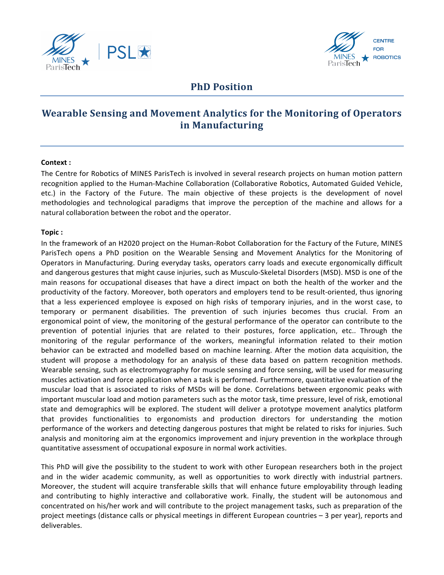



## **PhD** Position

# **Wearable Sensing and Movement Analytics for the Monitoring of Operators in Manufacturing**

#### **Context :**

The Centre for Robotics of MINES ParisTech is involved in several research projects on human motion pattern recognition applied to the Human-Machine Collaboration (Collaborative Robotics, Automated Guided Vehicle, etc.) in the Factory of the Future. The main objective of these projects is the development of novel methodologies and technological paradigms that improve the perception of the machine and allows for a natural collaboration between the robot and the operator.

#### **Topic :**

In the framework of an H2020 project on the Human-Robot Collaboration for the Factury of the Future, MINES ParisTech opens a PhD position on the Wearable Sensing and Movement Analytics for the Monitoring of Operators in Manufacturing. During everyday tasks, operators carry loads and execute ergonomically difficult and dangerous gestures that might cause injuries, such as Musculo-Skeletal Disorders (MSD). MSD is one of the main reasons for occupational diseases that have a direct impact on both the health of the worker and the productivity of the factory. Moreover, both operators and employers tend to be result-oriented, thus ignoring that a less experienced employee is exposed on high risks of temporary injuries, and in the worst case, to temporary or permanent disabilities. The prevention of such injuries becomes thus crucial. From an ergonomical point of view, the monitoring of the gestural performance of the operator can contribute to the prevention of potential injuries that are related to their postures, force application, etc.. Through the monitoring of the regular performance of the workers, meaningful information related to their motion behavior can be extracted and modelled based on machine learning. After the motion data acquisition, the student will propose a methodology for an analysis of these data based on pattern recognition methods. Wearable sensing, such as electromyography for muscle sensing and force sensing, will be used for measuring muscles activation and force application when a task is performed. Furthermore, quantitative evaluation of the muscular load that is associated to risks of MSDs will be done. Correlations between ergonomic peaks with important muscular load and motion parameters such as the motor task, time pressure, level of risk, emotional state and demographics will be explored. The student will deliver a prototype movement analytics platform that provides functionalities to ergonomists and production directors for understanding the motion performance of the workers and detecting dangerous postures that might be related to risks for injuries. Such analysis and monitoring aim at the ergonomics improvement and injury prevention in the workplace through quantitative assessment of occupational exposure in normal work activities.

This PhD will give the possibility to the student to work with other European researchers both in the project and in the wider academic community, as well as opportunities to work directly with industrial partners. Moreover, the student will acquire transferable skills that will enhance future employability through leading and contributing to highly interactive and collaborative work. Finally, the student will be autonomous and concentrated on his/her work and will contribute to the project management tasks, such as preparation of the project meetings (distance calls or physical meetings in different European countries – 3 per year), reports and deliverables.